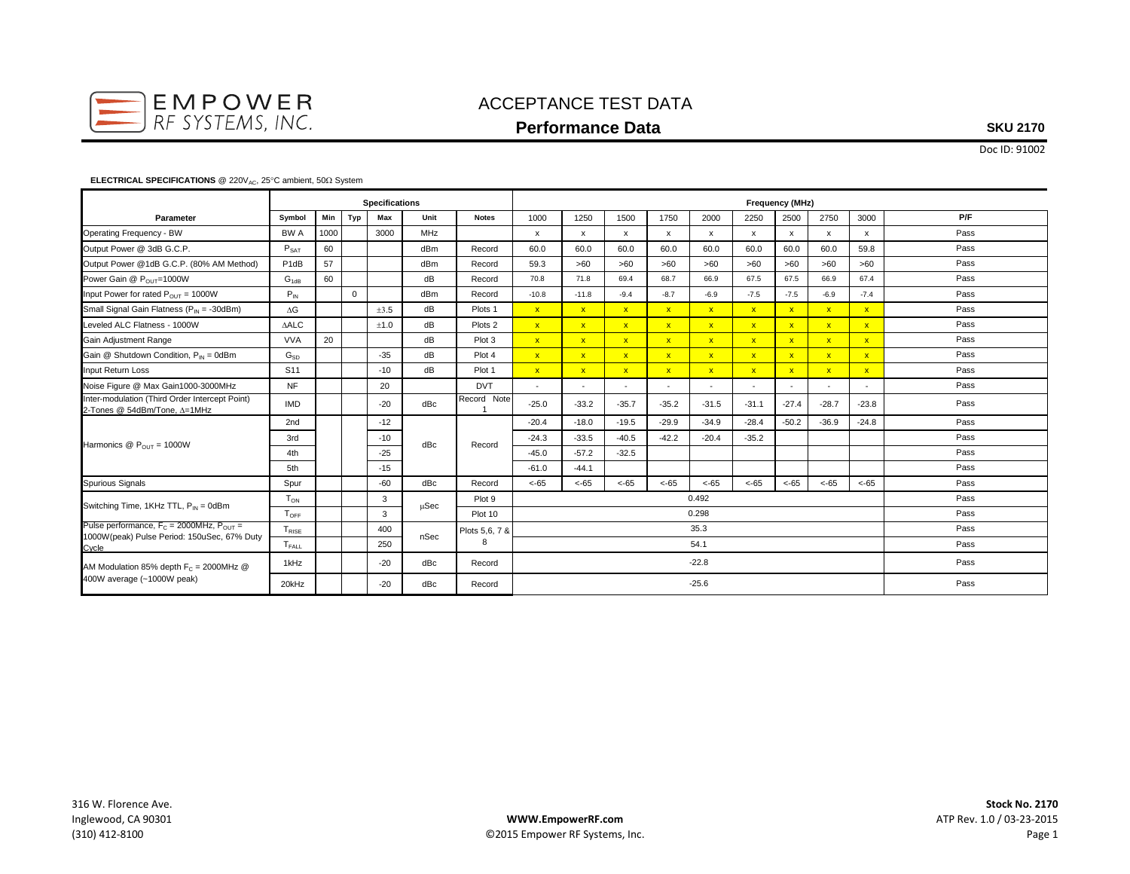

## ACCEPTANCE TEST DATA **Performance Data**

### **SKU 2170**

Doc ID: 91002

#### **ELECTRICAL SPECIFICATIONS** @ 220V<sub>AC</sub>, 25°C ambient, 50Ω System

|                                                                                                          | <b>Specifications</b> |      |             |       |            |                    | <b>Frequency (MHz)</b>   |              |              |                          |              |              |              |              |                         |      |
|----------------------------------------------------------------------------------------------------------|-----------------------|------|-------------|-------|------------|--------------------|--------------------------|--------------|--------------|--------------------------|--------------|--------------|--------------|--------------|-------------------------|------|
| Parameter                                                                                                | Symbol                | Min  | Typ         | Max   | Unit       | <b>Notes</b>       | 1000                     | 1250         | 1500         | 1750                     | 2000         | 2250         | 2500         | 2750         | 3000                    | P/F  |
| Operating Frequency - BW                                                                                 | BW A                  | 1000 |             | 3000  | <b>MHz</b> |                    | $\mathsf{x}$             | x            | $\mathsf{x}$ | $\mathsf{x}$             | $\mathsf{x}$ | x            | $\mathsf{x}$ | $\mathsf{x}$ | $\mathsf{x}$            | Pass |
| Output Power @ 3dB G.C.P.                                                                                | $P_{SAT}$             | 60   |             |       | dBm        | Record             | 60.0                     | 60.0         | 60.0         | 60.0                     | 60.0         | 60.0         | 60.0         | 60.0         | 59.8                    | Pass |
| Output Power @1dB G.C.P. (80% AM Method)                                                                 | P <sub>1dB</sub>      | 57   |             |       | dBm        | Record             | 59.3                     | >60          | >60          | >60                      | >60          | >60          | >60          | >60          | >60                     | Pass |
| Power Gain @ POUT=1000W                                                                                  | $G_{1dB}$             | 60   |             |       | dB         | Record             | 70.8                     | 71.8         | 69.4         | 68.7                     | 66.9         | 67.5         | 67.5         | 66.9         | 67.4                    | Pass |
| Input Power for rated $P_{OUT} = 1000W$                                                                  | $P_{IN}$              |      | $\mathbf 0$ |       | dBm        | Record             | $-10.8$                  | $-11.8$      | $-9.4$       | $-8.7$                   | $-6.9$       | $-7.5$       | $-7.5$       | $-6.9$       | $-7.4$                  | Pass |
| Small Signal Gain Flatness (P <sub>IN</sub> = -30dBm)                                                    | $\Delta G$            |      |             | ±3.5  | dB         | Plots 1            | $\mathbf{x}$             | $\mathbf{x}$ | $\mathbf{x}$ | $\mathbf{x}$             | $\mathbf{x}$ | $\mathbf{x}$ | $\mathbf{x}$ | $\mathbf{x}$ | $\mathbf{x}$            | Pass |
| Leveled ALC Flatness - 1000W                                                                             | <b>AALC</b>           |      |             | ±1.0  | dB         | Plots <sub>2</sub> | $\mathbf{x}$             | $\mathbf{x}$ | $\mathbf{x}$ | $\mathbf{x}$             | $\mathbf{x}$ | $\mathbf{x}$ | $\mathbf{x}$ | $\mathbf{x}$ | $\mathbf{x}$            | Pass |
| Gain Adjustment Range                                                                                    | <b>VVA</b>            | 20   |             |       | dB         | Plot 3             | $\mathbf{x}$             | $\mathbf{x}$ | $\mathbf{x}$ | $\mathbf{x}$             | $\mathbf{x}$ | $\mathbf{x}$ | $\mathbf{x}$ | $\mathbf{x}$ | $\mathbf{x}$            | Pass |
| Gain @ Shutdown Condition, $P_{IN} = 0d$ Bm                                                              | $G_{SD}$              |      |             | $-35$ | dB         | Plot 4             | $\mathbf{x}$             | $\mathbf{x}$ | $\mathbf{x}$ | $\mathbf{x}$             | $\mathbf{x}$ | $\mathbf{x}$ | $\mathbf{x}$ | $\mathbf{x}$ | $\overline{\mathbf{x}}$ | Pass |
| Input Return Loss                                                                                        | S <sub>11</sub>       |      |             | $-10$ | dB         | Plot 1             | $\mathbf{x}$             | $\mathbf{x}$ | $\mathbf{x}$ | $\mathbf{x}$             | $\mathbf{x}$ | $\mathbf{x}$ | $\mathbf{x}$ | $\mathbf{x}$ | $\mathbf{x}$            | Pass |
| Noise Figure @ Max Gain1000-3000MHz                                                                      | <b>NF</b>             |      |             | 20    |            | <b>DVT</b>         | $\overline{\phantom{a}}$ |              | $\sim$       | $\overline{\phantom{a}}$ |              |              |              |              |                         | Pass |
| Inter-modulation (Third Order Intercept Point)<br>2-Tones @ 54dBm/Tone, ∆=1MHz                           | <b>IMD</b>            |      |             | $-20$ | dBc        | Record Note        | $-25.0$                  | $-33.2$      | $-35.7$      | $-35.2$                  | $-31.5$      | $-31.1$      | $-27.4$      | $-28.7$      | $-23.8$                 | Pass |
| Harmonics $@P_{OUT} = 1000W$                                                                             | 2nd                   |      |             | $-12$ |            | Record             | $-20.4$                  | $-18.0$      | $-19.5$      | $-29.9$                  | $-34.9$      | $-28.4$      | $-50.2$      | $-36.9$      | $-24.8$                 | Pass |
|                                                                                                          | 3rd                   |      |             | $-10$ | dBc        |                    | $-24.3$                  | $-33.5$      | $-40.5$      | $-42.2$                  | $-20.4$      | $-35.2$      |              |              |                         | Pass |
|                                                                                                          | 4th                   |      |             | $-25$ |            |                    | $-45.0$                  | $-57.2$      | $-32.5$      |                          |              |              |              |              |                         | Pass |
|                                                                                                          | 5th                   |      |             | $-15$ |            |                    | $-61.0$                  | $-44.1$      |              |                          |              |              |              |              |                         | Pass |
| Spurious Signals                                                                                         | Spur                  |      |             | $-60$ | dBc        | Record             | $< -65$                  | $< -65$      | $< -65$      | $< -65$                  | $< -65$      | $< -65$      | $< -65$      | $< -65$      | $< -65$                 | Pass |
| Switching Time, 1KHz TTL, P <sub>IN</sub> = 0dBm                                                         | $T_{ON}$              |      |             | 3     | uSec       | Plot 9             | 0.492                    |              |              |                          |              |              |              |              |                         | Pass |
|                                                                                                          | $T_{\text{OFF}}$      |      |             | 3     |            | Plot 10            | 0.298<br>Pass            |              |              |                          |              |              |              |              |                         |      |
| Pulse performance, $F_C = 2000$ MHz, $P_{OUT} =$<br>1000W(peak) Pulse Period: 150uSec, 67% Duty<br>Cycle | $T_{RISE}$            |      |             | 400   | nSec       | Plots 5,6, 7 &     | 35.3                     |              |              |                          |              |              |              |              |                         | Pass |
|                                                                                                          | $T_{FAI}$             |      |             | 250   |            | 8                  | 54.1                     |              |              |                          |              |              |              |              |                         | Pass |
| AM Modulation 85% depth $F_C = 2000$ MHz @<br>400W average (~1000W peak)                                 | 1kHz                  |      |             | $-20$ | dBc        | Record             | $-22.8$<br>Pass          |              |              |                          |              |              |              |              |                         |      |
|                                                                                                          | 20kHz                 |      |             | $-20$ | dBc        | Record             | $-25.6$<br>Pass          |              |              |                          |              |              |              |              |                         |      |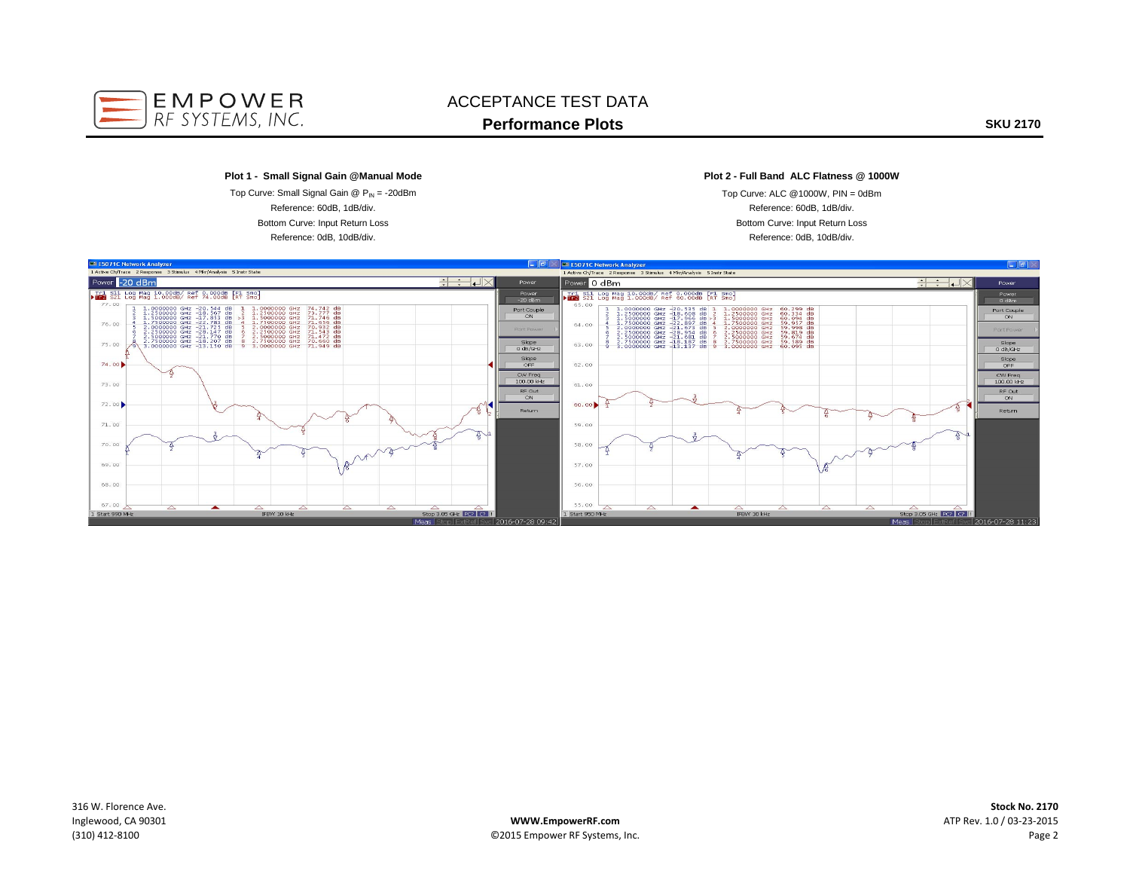

# ACCEPTANCE TEST DATA**Performance Plots**

**SKU 2170**

#### **Plot 1 - Small Signal Gain @Manual Mode**

Bottom Curve: Input Return Loss Reference: 0dB, 10dB/div. Top Curve: Small Signal Gain  $@$   $P_{\text{IN}} = -20d$ Bm Reference: 60dB, 1dB/div.

### **Plot 2 - Full Band ALC Flatness @ 1000W**

Reference: 60dB, 1dB/div. Top Curve: ALC @1000W, PIN = 0dBm Bottom Curve: Input Return Loss Reference: 0dB, 10dB/div.